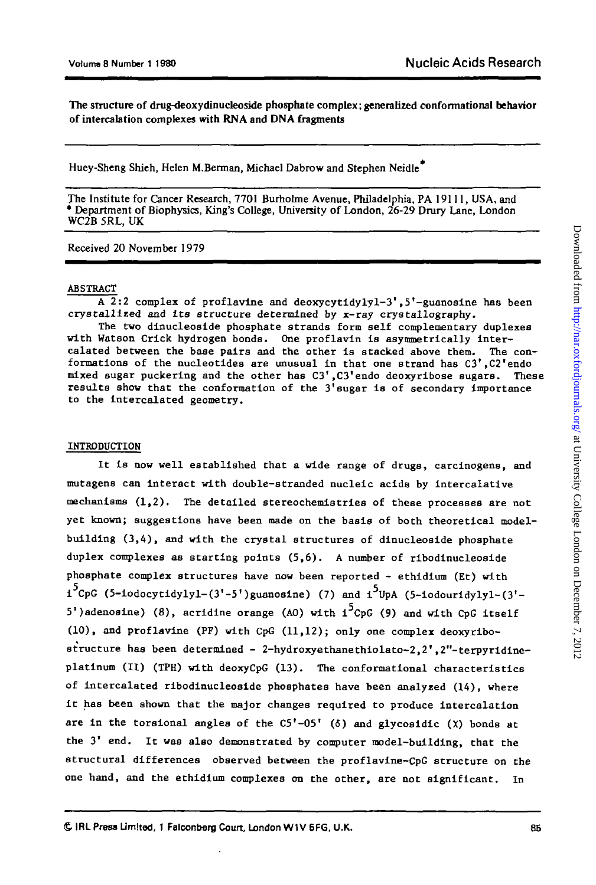The structure of drug-deoxydinucleoside phosphate complex; generalized conformational behavior of intercalation complexes with **RNA** and **DNA** fragments

Huey-Sheng Shieh, Helen M.Berman, Michael Dabrow and Stephen Neidle

The Institute for Cancer Research, 7701 Burholme Avenue, Philadelphia, PA 19111, USA, and \* Department of Biophysics, King's College, University of London, 26-29 Drury Lane, London WC2B 5RL, UK

Received 20 November 1979

### ABSTRACT

 $\overline{A}$  2:2 complex of proflavine and deoxycytidyly1-3',5'-guanosine has been crystallized and its structure determined by x-ray crystallography.

The two dinudeoside phosphate strands form self complementary duplexes with Watson Crick hydrogen bonds. One proflavin is asymmetrically intercalated between the base pairs and the other is stacked above them. The conformations of the nucleotides are unusual in that one strand has C3',C2'endo mixed sugar puckering and the other has C3',C3'endo deoxyribose sugars. These results show that the conformation of the  $3'$  sugar is of secondary importance to the intercalated geometry.

#### INTRODUCTION

It is now well established that a wide range of drugs, carcinogens, and mutagen8 can interact with double-stranded nucleic acids by intercalative mechanisms  $(1,2)$ . The detailed stereochemistries of these processes are not yet known; suggestions have been made on the basis of both theoretical modelbuilding (3,4), and with the crystal structures of dinucleoside phosphate duplex complexes as starting points (5,6). A number of ribodlnucleoside phosphate complex structures have now been reported - ethidium (Et) with  $i^{5}CpG$  (5-iodocytidylyl-(3'-5')guanosine) (7) and  $i^{5}UpA$  (5-iodouridylyl-(3'-5')adenosine) (8), acridine orange (AO) with  $i^5$ CpG (9) and with CpG itself (10), and proflavine (PF) with CpG (11,12); only one complex deoxyribostructure has been determined - 2-hydroxyethanethiolato-2,2',2"-terpyridineplatinum (II) (TPH) with deoxyCpG (13). The conformational characteristics of intercalated ribodinucleoside phosphates have been analyzed (14), where it has been shown that the major changes required to produce intercalation are in the torsional angles of the  $C5'$ -05' ( $\delta$ ) and glycosidic ( $\chi$ ) bonds at the 3' end. It was also demonstrated by computer model-building, that the structural differences observed between the proflavine-CpG structure on the one hand, and the ethidium complexes on the other, are not significant. In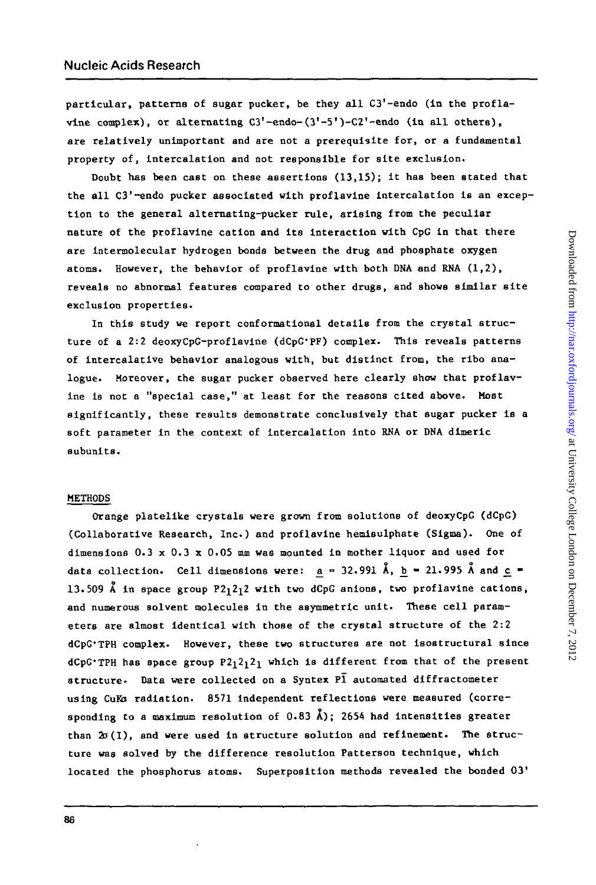**particular, patterns of sugar pucker, be they all C3'-endo (in the proflavlne complex), or alternating C3'-endo-(3'-5')-C2'-endo (in all others), are relatively unimportant and are not a prerequisite for, or a fundamental property of, intercalation and not responsible for site exclusion.**

**Doubt has been cast on these assertions (13,15); it has been stated that the all C3'-endo pucker associated with proflavine intercalation is an exception to the general alternating-pucker rule, arising from the peculiar nature of the proflavine cation and its interaction with CpG in that there are intermolecular hydrogen bonds between the drug and phosphate oxygen atoms. However, the behavior of proflavine with both DNA and RNA (1,2), reveals no abnormal features compared to other drugs, and shows similar site exclusion properties.**

**In this study we report conformational details from the crystal structure of a 2:2 deoxyCpG-proflavine (dCpG'PF) complex. This reveals patterns of intercalative behavior analogous with, but distinct from, the ribo analogue. Moreover, che sugar pucker observed here clearly shov that proflavine is not a "special case," at least for the reasons cited above. Most significantly, these results demonstrate conclusively that sugar pucker is a soft parameter in the context of intercalation into RNA or DNA dlmeric subunlts.**

## **METHODS**

**Orange platelike crystals were grown from solutions of deoxyCpG (dCpG) (Collaborative Research, Inc.) and proflavine hemisulphate (Sigma). One of dimensions 0.3 x 0.3 x 0.05 mm was mounted in mother liquor and used for** data collection. Cell dimensions were:  $a = 32.991 \text{ Å}$ ,  $b = 21.995 \text{ Å}$  and  $c =$ **13.509 A in space group P2i2^2 with two dCpG anions, two proflavine cations, and numerous solvent molecules in the asymmetric unit. These cell parameters are almost identical with those of the crystal structure of the 2:2 dCpG'TPH complex. However, these two structures are not isostructural since dCpG'TPH has space group P2i2i2i which is different from that of the present structure- Data were collected on a Syntex PI automated diffractometer** using CuKa radiation. 8571 independent reflections were measured (corre**sponding to a maximum resolution of 0.83 k); 2654 had intensities greater than 2o(I), and were used in structure solution and refinement. The structure was solved by the difference resolution Patterson technique, which located the phosphorus atoms. Superposition methods revealed the bonded 03'**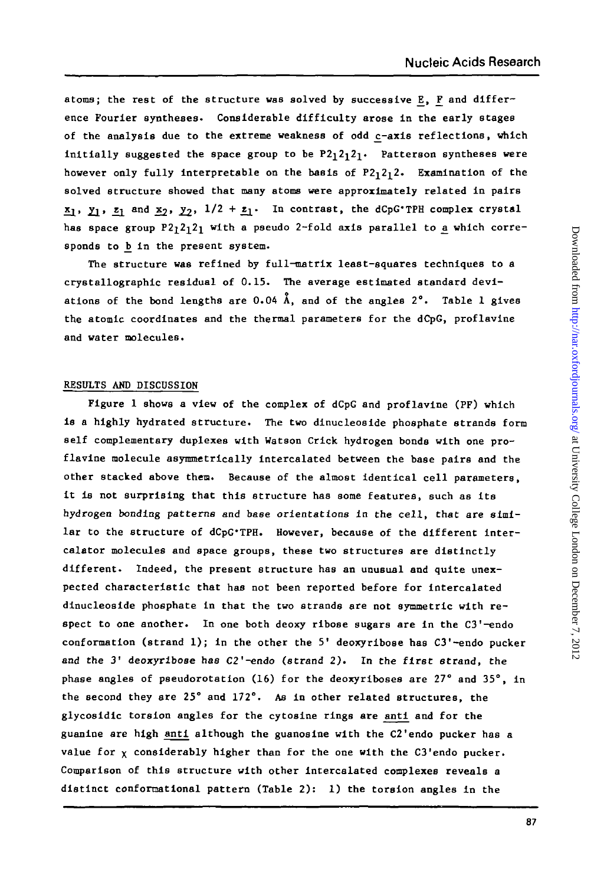atoms; the rest of the structure was solved by successive E, F and differ**ence Fourier syntheses- Considerable difficulty arose in the early stages** of the analysis due to the extreme weakness of odd c-axis reflections, which initially suggested the space group to be P2<sub>1</sub>2<sub>1</sub>2<sub>1</sub>. Patterson syntheses were however only fully interpretable on the basis of P2<sub>1</sub>2<sub>1</sub>2. Examination of the **solved structure showed that many atoms were approximately related in pairs**  $\mathbf{x}_1$ ,  $\mathbf{y}_1$ ,  $\mathbf{z}_1$  and  $\mathbf{x}_2$ ,  $\mathbf{y}_2$ ,  $1/2 + \mathbf{z}_1$ . In contrast, the dCpG'TPH complex crystal has space group P2<sub>1</sub>2<sub>1</sub>2<sub>1</sub> with a pseudo 2-fold axis parallel to a which corre**sponds to \_b in the present system.**

**The structure was refined by full-matrix least-squares techniques to a crystallographic residual of 0.15. The average estimated standard deviations of the bond lengths are 0.04 A, and of the angles 2°. Table 1 gives the atomic coordinates and the thermal parameters for the dCpG, proflavine and water molecules.**

# **RESULTS AMD DISCUSSION**

**Figure 1 shows a view of the complex of dCpG and proflavine (PF) which is a highly hydrated structure. The two dinucleoside phosphate strands form self complementary duplexes with Watson Crick hydrogen bonds with one proflavine molecule asymmetrically intercalated between the base pairs and the other stacked above then. Because of the almost identical cell parameters, it is not surprising that this structure has some features, such as its hydrogen bonding patterns and base orientations in the cell, that are similar to the structure of dCpG'TPH. However, because of the different intercalator molecules and space groups, these two structures are distinctly different. Indeed, the present structure has an unusual and quite unexpected characteristic that has not been reported before for intercalated dinucleoside phosphate in that the two strands are not symmetric with respect to one another. In one both deoxy ribose sugars are in the C3'-endo conformation (strand 1) ; in the other the 5' deoxyribose has C3'-endo pucker and the 3' deoxyribose has C2'-endo (strand 2) . In the first strand, the phase angles of pseudorotation (16) for the deoxyriboses are 27° and 35°, in the second they are 25° and 172°. As in other related structures, the glycosidic torsion angles for the cytosine rings are anti and for the guanine are high anti although the guanosine with the C2'endo pucker has a value for x considerably higher than for the one with the C3'endo pucker. Comparison of this structure with other Intercalated complexes reveals a distinct confonnational pattern (Table 2) : 1) the torsion angles in the**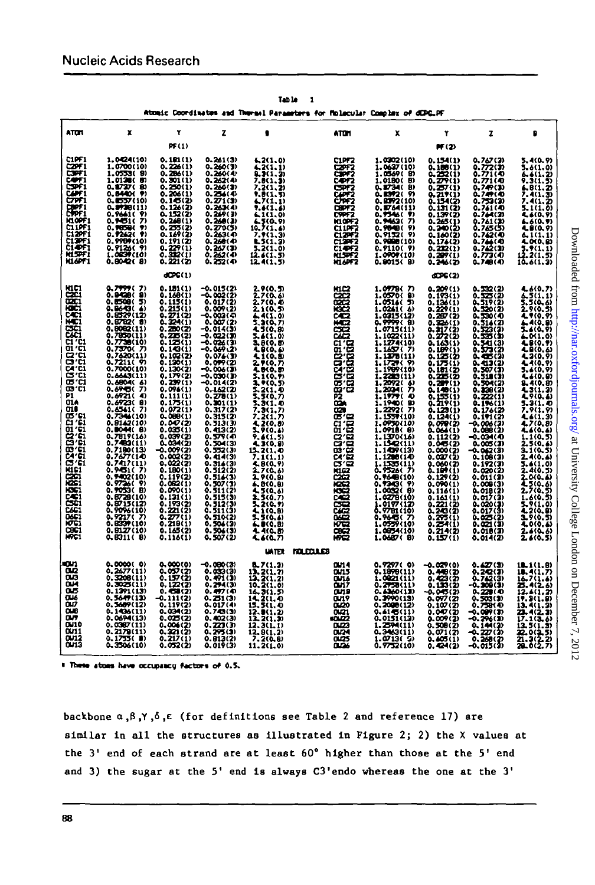|                                                                                                                                                                                                                                 |                                                                                                                                                                                                                                                                                                                                                                                                                                                                                                                                    |                                                                                                                                                                                                                                                                                                                                                                                                                                                            |                                                                                                                                                                                                                                                                                                                                                                                                                                                                                 |                                                                                                                                                                                                                                                                                                                                                                                                                                                                                 | Atomic Coordinates and Thermal Parameters for Molacular Complex of dCPG.PF                                                                                                                                                                |                                                                                                                                                                                                                                                                                                                                                                                                                                                                                                                                |                                                                                                                                                                                                                                                                                                                                                                                                                                                                                        |                                                                                                                                                                                                                                                                                                                                                                                                                                                          |                                                                                                                                                                                                                                                                                                                                                                                                                                                   |
|---------------------------------------------------------------------------------------------------------------------------------------------------------------------------------------------------------------------------------|------------------------------------------------------------------------------------------------------------------------------------------------------------------------------------------------------------------------------------------------------------------------------------------------------------------------------------------------------------------------------------------------------------------------------------------------------------------------------------------------------------------------------------|------------------------------------------------------------------------------------------------------------------------------------------------------------------------------------------------------------------------------------------------------------------------------------------------------------------------------------------------------------------------------------------------------------------------------------------------------------|---------------------------------------------------------------------------------------------------------------------------------------------------------------------------------------------------------------------------------------------------------------------------------------------------------------------------------------------------------------------------------------------------------------------------------------------------------------------------------|---------------------------------------------------------------------------------------------------------------------------------------------------------------------------------------------------------------------------------------------------------------------------------------------------------------------------------------------------------------------------------------------------------------------------------------------------------------------------------|-------------------------------------------------------------------------------------------------------------------------------------------------------------------------------------------------------------------------------------------|--------------------------------------------------------------------------------------------------------------------------------------------------------------------------------------------------------------------------------------------------------------------------------------------------------------------------------------------------------------------------------------------------------------------------------------------------------------------------------------------------------------------------------|----------------------------------------------------------------------------------------------------------------------------------------------------------------------------------------------------------------------------------------------------------------------------------------------------------------------------------------------------------------------------------------------------------------------------------------------------------------------------------------|----------------------------------------------------------------------------------------------------------------------------------------------------------------------------------------------------------------------------------------------------------------------------------------------------------------------------------------------------------------------------------------------------------------------------------------------------------|---------------------------------------------------------------------------------------------------------------------------------------------------------------------------------------------------------------------------------------------------------------------------------------------------------------------------------------------------------------------------------------------------------------------------------------------------|
| <b>ATON</b>                                                                                                                                                                                                                     | x                                                                                                                                                                                                                                                                                                                                                                                                                                                                                                                                  | ۲                                                                                                                                                                                                                                                                                                                                                                                                                                                          | z                                                                                                                                                                                                                                                                                                                                                                                                                                                                               | ٠                                                                                                                                                                                                                                                                                                                                                                                                                                                                               | ATTH                                                                                                                                                                                                                                      | x                                                                                                                                                                                                                                                                                                                                                                                                                                                                                                                              | ۲                                                                                                                                                                                                                                                                                                                                                                                                                                                                                      | z                                                                                                                                                                                                                                                                                                                                                                                                                                                        | ۵                                                                                                                                                                                                                                                                                                                                                                                                                                                 |
|                                                                                                                                                                                                                                 |                                                                                                                                                                                                                                                                                                                                                                                                                                                                                                                                    | <b>PF(1)</b>                                                                                                                                                                                                                                                                                                                                                                                                                                               |                                                                                                                                                                                                                                                                                                                                                                                                                                                                                 |                                                                                                                                                                                                                                                                                                                                                                                                                                                                                 |                                                                                                                                                                                                                                           |                                                                                                                                                                                                                                                                                                                                                                                                                                                                                                                                | PF (2)                                                                                                                                                                                                                                                                                                                                                                                                                                                                                 |                                                                                                                                                                                                                                                                                                                                                                                                                                                          |                                                                                                                                                                                                                                                                                                                                                                                                                                                   |
| セット<br>CZPF 1<br>ヒマチュ<br>C7F1<br>EFF!<br>h1opf)<br><b>CLIPF)</b><br>CL2PF)<br>C13PF1<br>CI OFI<br>NISPFI<br><b>KLGPF1</b>                                                                                                       | 1.0424(10)<br>1.0700(10)<br>1.0553( 9)<br>1.0138(5)<br>0.0737(<br>80<br>0.8440( 9)<br>0.0557(10)<br>0.9730(11)<br>0.96610<br>9)<br>0.1510<br>$\overline{\mathbf{v}}$<br>Ŷ)<br>0.985BC<br>.7242( 9)<br>Ω.<br>0.9909(10)<br>0.9126(9)<br>1.0839(10)<br>0.8042( 8)                                                                                                                                                                                                                                                                    | 0.101(1)<br>0.226(1)<br>0.286(1)<br>0.301(1)<br>$0.250(1)$<br>$0.206(1)$<br>$0.16(2)$<br>$0.12(2)$<br>0.152(2)<br>0.248(1)<br>0.255(2)<br>$0.169(2)$<br>$0.191(2)$<br>$0.220(1)$<br>$0.322(1)$<br>$0.221(2)$                                                                                                                                                                                                                                               | 0.241(3)<br>0.260(3)<br>0.262(4)<br>0.260(3)<br>0.256(4)<br>$0.271(3)$<br>0.263(4)<br>0.249(3)<br>0.240(3)<br>0.270(5)<br>0.263(4)<br>0.260(4)<br>0.267(3)<br>0.262(4)<br>0.252(4)                                                                                                                                                                                                                                                                                              | 6.2(1.0)<br>4.2(1.1)<br>LJ(1.3)<br>7.8(1.3)<br>7.2(1.2)<br>9.B(1.5)<br>67(1,1)<br>4.6(1.6)<br>6.1(1,0)<br>$\frac{1}{10}$ , $\frac{1}{2}$ (1, 4)<br>7.9(1.3)<br>$\frac{15(1,3)}{5.2(1,0)}$<br>12.4(1.5)                                                                                                                                                                                                                                                                          | CLPF2<br>C2PF2<br>CEN7<br>COF2<br>ರ್ಜಾ<br>87<br><b>CEPT2</b><br>C9PF2<br>HIGHZ<br>CIDEZ<br>eize?<br>Cize?<br><b>CLOF2</b><br>NLSF2<br><b>HLAPF2</b>                                                                                       | 1.0302(10)<br>1.0637(10)<br>1.0569( B)<br>1.0180(<br>Đ<br>0.87340<br>Đ<br>0.E372( 9)<br>0.0372(10)<br>0.DT64(11)<br>0.7546(7)<br>0.7463(7)<br>0.7043(9)<br>0.9152(9)<br>0.9008(10)<br>0.9110( 9)<br>1.0907(10)<br>0.0015( 8)                                                                                                                                                                                                                                                                                                   | 0.154(1)<br>0.188(1)<br>0.252(1)<br>0.279(1)<br>0.27(1)<br>0.219(1)<br>0.154(2)<br>0.139(2)<br>0.269(1)<br>0.160(2)<br>0.176(2)<br>0.222(1)<br>0.207(1)<br>0.246(2)                                                                                                                                                                                                                                                                                                                    | 0.767(3)<br>0.771(4)<br>0.771(4)<br>0.749(3)<br>0.747(4)<br>0.753(3)<br>0.761(4)<br>0.764(3)<br>0.761(2)<br>0.765(5)<br>0.742(4)<br>$\begin{array}{c} 0.77760 \\ 0.76360 \\ 0.77360 \end{array}$<br>0.749(4)                                                                                                                                                                                                                                             | 5,4(0,9)<br>5.6(1.0)<br>6.6(1,2)<br>9.3(1.5)<br>6.8(1.2)<br>7.4(1.3)<br>7.4(1.2)<br>$2.1(1,0)$<br>$4.4(0,9)$<br>6.6(0.9)<br>4.8(0.9)<br>6.1(1,1)<br>4.010.B)<br>$\frac{5.9(1,1)}{12.2(1,5)}$<br>10.6(1.3)                                                                                                                                                                                                                                         |
|                                                                                                                                                                                                                                 |                                                                                                                                                                                                                                                                                                                                                                                                                                                                                                                                    | $d$ CPC $(1)$                                                                                                                                                                                                                                                                                                                                                                                                                                              |                                                                                                                                                                                                                                                                                                                                                                                                                                                                                 |                                                                                                                                                                                                                                                                                                                                                                                                                                                                                 |                                                                                                                                                                                                                                           |                                                                                                                                                                                                                                                                                                                                                                                                                                                                                                                                | dCPC(2)                                                                                                                                                                                                                                                                                                                                                                                                                                                                                |                                                                                                                                                                                                                                                                                                                                                                                                                                                          |                                                                                                                                                                                                                                                                                                                                                                                                                                                   |
| mei<br>麗<br>iac:<br>853<br>CAC1<br>C1 'C1<br>öi 'či<br>œœ.<br>arii<br>870<br>ēci<br>09 ° C1<br>P1<br>014<br>ច្ចុះ<br>ស្ថិត ប៉ុន្តែ<br>ស្ថិត ប៉ុន្តែ<br><b>EGSBOR</b><br>EGSBOR<br>œa<br>ī251<br>888888<br>IO GI<br>CBC1<br>HYCI | 0.7777(<br>"<br>0.9420<br>O)<br>5)<br>0.0649(2)<br>0.0529(12)<br>0.8782( 8)<br>0.0002(11)<br>0.7050(11)<br>0.7730(10)<br>0.7570( 7)<br>0.7620(11)<br>0.7211( W<br>0.7000(10)<br>0.6643(11)<br>0.6804(6)<br>0.6945(7)<br>0.6921<br>Ð<br>0.6923(0)<br>0.6541(7)<br>0.7346(10)<br>0.9142(10)<br>0.0044( 8)<br>0.7819(16)<br>0.740(11)<br>0.7100(13)<br>0.7677(14)<br>0.7417(11)<br>0.9451(7)<br>0.9402(10)<br>0.9736(9)<br>0.7053(B)<br>0.8728(10)<br>0.8715(12)<br>0.9096(10)<br>0.9217( 7)<br>0.0337(10)<br>0.0127(10)<br>0.8311(8) | 0.101(1)<br>0.160(1)<br>0.115(1)<br>0.215(1)<br>0.271(2)<br>0.324(1)<br>0.220(2)<br>0.225(2)<br>0.125(1)<br>0.143(1)<br>0.102(2)<br>0.130(1)<br>0.130(2)<br>0.179(2)<br>0.239(1)<br>0.096(1)<br>0.111(1)<br>0.175(1)<br>0.072(1)<br>0.000(1)<br>0.000<br>0.009(2)<br>0.004(2)<br>$-0.009(2)$<br>0.002(2)<br>0.022(2)<br>0.180(1)<br>0.119(2)<br>0.062(1)<br>0.090(1)<br>0. 131 (I)<br>0.193(2)<br>0.221(2)<br>0.277(1)<br>0.210(1)<br>0.165(2)<br>0.116(1) | -0.015(2)<br>$-0.002(2)$<br>0.017(2)<br>0.009(2)<br>-0.003(4)<br>$-0.007(2)$<br>-0.022(3)<br>$-0.026(3)$<br>$-0.069(2)$<br>0.076(3)<br>0.099(2)<br>-0.006(3)<br>-0.030(3)<br>-0.014(2)<br>0.162(2)<br>0.27B(1)<br>0.301(1)<br>0.317(2)<br>0.315(2)<br>0.513(3)<br>0.413(2)<br>0.579(4)<br>0.504(3)<br>0.552(3)<br>0.41(3)<br>$0.316(3)$<br>$0.512(2)$<br>0.516(3)<br>0.507(3)<br>0.511(2)<br>0.515(3)<br>0. 512(3)<br>0. 511(3)<br>0.510(2)<br>0.506(3)<br>0.506(3)<br>0.507(2) | 2.9(0,5)<br>2.7(0.6)<br>2.7(0, 4)<br>2.1(0.5)<br>4.4(1.0)<br>5.3(0.7)<br>4.5(0.8)<br>1,4(1,0)<br>1,8(0,8)<br>4.8(0, 6)<br>4.1(0.8)<br>29(0.7)<br>4.800.87<br>$2.1(0, 9)$<br>$2.7(0, 5)$<br>3,2(1.4)<br>3.3(0.7)<br>iii,<br>3.3(1,7)<br>7.2(1,7)<br>7.2(1,7)<br>5.9(0,4)<br>9.4(1,8)<br>7.1(1,1)<br>7.1(1,1)<br>7.1(1,1)<br>7.1(1,1)<br>4.8(0,9)<br>270.6)<br>290.8)<br>4.8(0.8)<br>4,5(0,0)<br>4,5(0,7)<br>5,2(0,7)<br>4.1(0,0)<br>5.5(0.6)<br>Á.9(0.8)<br>4.4(0,8)<br>4.6(0.7) | HLC2<br>ఴ<br>öäC2<br>132<br>حمه<br>нœ<br>ĊC2<br>66<br>ត្តក្នុង<br>សំណុំ<br>ផ្ចុំធ្វ<br>õ5'ĉā<br>ធ្លូ <sub>ំ</sub> ប៊<br>œ.<br>œ.<br>រុគបានឧបលននាធិ<br>របស់សំរាប់សំរាប់សំ<br>œ.<br>œ<br>132<br>းကာ<br>ౚౚ<br>磘<br>1772<br>άã<br><b>M7C2</b> | 1.0978(7)<br>G)<br>1.0570(<br>1.05160<br>51<br>1.0261(<br>6)<br>1.0215(12)<br>0.9999(B)<br>1.0715(11)<br>1.1022(11)<br>1.1274(10)<br>1.1657(7)<br>1.127B(11)<br>1.1729(9)<br>1.1909(10)<br>1.2283(11)<br>1.2092(6)<br>1.2024(<br>n<br>1.1979(<br>Đ<br>1.1940(B)<br>1.2272(7)<br>1.1557(10)<br>1.0950(10)<br>1.0918(8)<br>1.1270(16)<br>1.150(11)<br>1.1407(13)<br>1.1208(14)<br>1.1535(11)<br>0.9526(7)<br>0.9600(10)<br>0.930(9)<br>1.0032(0)<br>0278(10)<br>1.0197(12)<br>0.965(7)<br>1.0559(10)<br>1.0054(10)<br>1.0687( 8) | 0.209(1)<br>0.193(1)<br>0.136(1)<br>0.229(1)<br>0.297(2)<br>0.326(1)<br>0.37(2)<br>0.372(2)<br>0.163(1)<br>0.109(1)<br>0.125(2)<br>0.175(1)<br>0.181(2)<br>$0.205(2)$<br>$0.207(1)$<br>0.140(1)<br>0.155(1)<br>0.219(1)<br>0.123(1)<br>0.124(1)<br>0. <i>0</i> 79(2)<br>0.064(1)<br>$0.112(2)$<br>$0.06(2)$<br>စိုးတာပို့<br>စိုးထားသ<br>န်းမှာကို<br>0.129(2)<br>0.090(1)<br>0.116(1)<br>$0.161(1)$<br>$0.221(2)$<br>$0.243(2)$<br>$0.275(1)$<br>$0.274(1)$<br>$0.214(2)$<br>0.157(1) | 0.332(2)<br>0.525(2)<br>0.319(2)<br>0.320(2)<br>0.330(4)<br>0.514(2)<br>0.323(3)<br>ត្តិ ទីភ្នំខ្លោ<br>0.435(3)<br>0. 413(2)<br>0.507(1)<br>0.518(3)<br>0.504(2)<br>0.328(2)<br>0.222(1)<br>0.106(1)<br>0.176(2)<br>0. IFI (2)<br>$0.006(2)$<br>$0.008(2)$<br>—… ឆ្នាំ ភ្លេ<br>កំណាំ ឆ្នាំ<br>$-0.0000$<br>0.192(3)<br>0.020(2)<br>0.011(3)<br>0.008(3)<br>0.018(2)<br>0.017(3)<br>0.020(3)<br>0.017(3)<br>0.025(2)<br>0. 021 (D<br>0.01B(3)<br>0.014(2) | 4.6(0.7)<br>6.5(1.1)<br>5.5(0.6)<br>2.9(0.5)<br>4.9(0,9)<br>← 4(0,8)<br>3.6(0.9)<br>6.0(1.0)<br>4.8(0.9)<br>4.800.6)<br>43(0.9)<br>44(0.9)<br>5.6(0.9)<br>4.6(0,0)<br>440.8<br>5.3(1.4)<br>7.9(1.9)<br>$\frac{4.6(1.3)}{4.7(0.8)}$<br>4.6(0.6)<br>$1.1(0.5)$<br>2.5(0.6)<br>5.1(0.5)<br>2.4(0.4)<br>3.4(1.0)<br>2.4(0.3)<br>2000-00<br>4-500-00<br>2-700-51<br>$1.6(0.5)$<br>5.9(1.0)<br>4.2(0.0)<br>5.9(0.5)<br>4.010.63<br>2.6(0.6)<br>2.6(0.5) |
|                                                                                                                                                                                                                                 |                                                                                                                                                                                                                                                                                                                                                                                                                                                                                                                                    |                                                                                                                                                                                                                                                                                                                                                                                                                                                            |                                                                                                                                                                                                                                                                                                                                                                                                                                                                                 | <b>UATER</b>                                                                                                                                                                                                                                                                                                                                                                                                                                                                    | mmus                                                                                                                                                                                                                                      |                                                                                                                                                                                                                                                                                                                                                                                                                                                                                                                                |                                                                                                                                                                                                                                                                                                                                                                                                                                                                                        |                                                                                                                                                                                                                                                                                                                                                                                                                                                          |                                                                                                                                                                                                                                                                                                                                                                                                                                                   |
| um.<br>Ō2<br>836<br>aus<br>Ouz<br>ŌЮ<br>ari<br>0010<br>ັບກາ<br>Cu 12<br>ฒเ3                                                                                                                                                     | 0.0000(0)<br>0.2677(11)<br>3208(11)<br>٥.<br>0.3025(11)<br>0.1391(13)<br>0.5647(13)<br>0.5689(12)<br>0.1436(11)<br>0.0694(13)<br>0.0387(11)<br>0.2179(11)<br>0.1753(1)<br>0.3506(10)                                                                                                                                                                                                                                                                                                                                               | 0,000(0)<br>0.057(2)<br>0.157(2)<br>0.122(2)<br>0.59(2)<br>$-0.111(2)$<br>0.119(2)<br>0.034(2)<br>0.025(2)<br>$\begin{array}{c} 0.000(2) \\ 0.221(2) \\ 0.717(1) \\ 0.032(2) \end{array}$                                                                                                                                                                                                                                                                  | -0.080(3)<br>0.033(3)<br>0.491(3)<br>0.294(3)<br>0.497(4)<br>0.251(3)<br>0.017(4)<br>0.749(3)<br>0.402(3)<br>$\begin{array}{c} 0.221(3) \\ 0.273(3) \\ 0.813(2) \\ 0.019(3) \end{array}$                                                                                                                                                                                                                                                                                        | 8.7(1.3)<br>19.2(1.7)<br>12.2(1.2)<br>10.2(1.0)<br>14, 3(1, 5)<br>14, 2(1, 4)<br>13, 3(1, 4)<br>12.9(1.2)<br>$\frac{13.2(1.5)}{12.3(1.1)}$<br>$\begin{array}{c} 12.8(1.2) \\ 7.2(0.8) \\ 11.2(1.0) \end{array}$                                                                                                                                                                                                                                                                 | <b>0.14</b><br><b>0.15</b><br><b>OU16</b><br>an 7<br>ans<br><b>GUI?</b><br>öö.<br>Ölü<br>فقته<br>0.Q3<br>0424<br>0LQS<br>0.26                                                                                                             | 0.9297(0)<br>0.1898(11)<br>0021(11)<br>0.2758(11)<br>0. 6360(13)<br>0.3990(13)<br>0.2008(12)<br>0.416(11)<br>0.0151(13)<br>$\begin{array}{l} 1.2594(11) \\ 0.3463(11) \\ 1.0213(12) \end{array}$<br>0.9752(10)                                                                                                                                                                                                                                                                                                                 | $-0.029(0)$<br>0.49(2)<br>0.133(2)<br>-0.045(2)<br>0.077(2)<br>0.107(2)<br>0.00(2)<br>0.009(2)<br>ö. 508(2)<br>0.071(2)<br>0.405(1)<br>0.424(2)                                                                                                                                                                                                                                                                                                                                        | $0.427(3)$<br>$0.242(3)$<br>0.742(3)<br>$-0.228(4)$<br>ö. 503 (D)<br>0.758(4)<br>-0.009(3)<br>-0.296(3)<br>$-0.14(3)$<br>$-0.227(3)$<br>$-0.348(2)$<br>$-0.015(3)$                                                                                                                                                                                                                                                                                       | 18.1(1.8)<br>18, 4(1.7)<br>16, 7(1.4)<br>25.4(2.6)<br>12.6(1.2)<br>19.3(1.8)<br>13.4(1.3)<br>21. 4(2, 1)<br>17.1(3.6)<br>13.5(1.3)<br>32,0(3,3)<br>21,9(2,2)<br>21,0(2,7)                                                                                                                                                                                                                                                                         |

Table 1

# These atoes have occupancy factors of 0.5.

backbone  $a, \beta, \gamma, \delta, \epsilon$  (for definitions see Table 2 and reference 17) are similar in all the structures as illustrated in Figure 2; 2) the X values at the 3' end of each strand are at least 60° higher than those at the 5' end and 3) the sugar at the 5' end is always C3'endo whereas the one at the 3'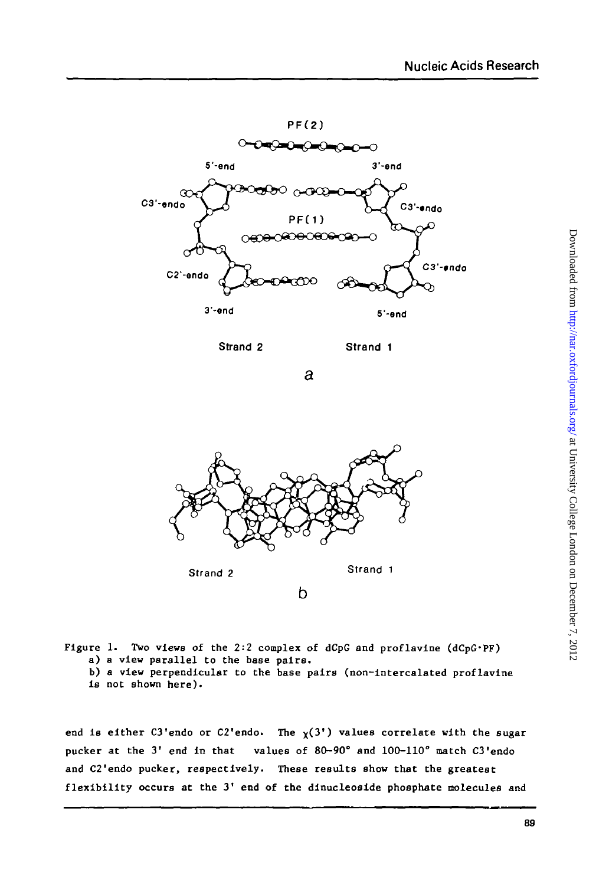

**Strand 2 Strand 1**

a



**Figure 1. Two views of the 2:2 complex of dCpG and proflavine (dCpG'PF) a) a view parallel to the base pairs. b) a view perpendicular to the base pairs (non-intercalated proflavine is not shown here).**

end is either C3'endo or C2'endo. The  $\chi(3')$  values correlate with the sugar **pucker at the 3' end in that values of 80-90° and 100-110° match C3'endo and C2'endo pucker, respectively. These results show that the greatest flexibility occurs at the 3' end of the dinucleoside phosphate molecules and**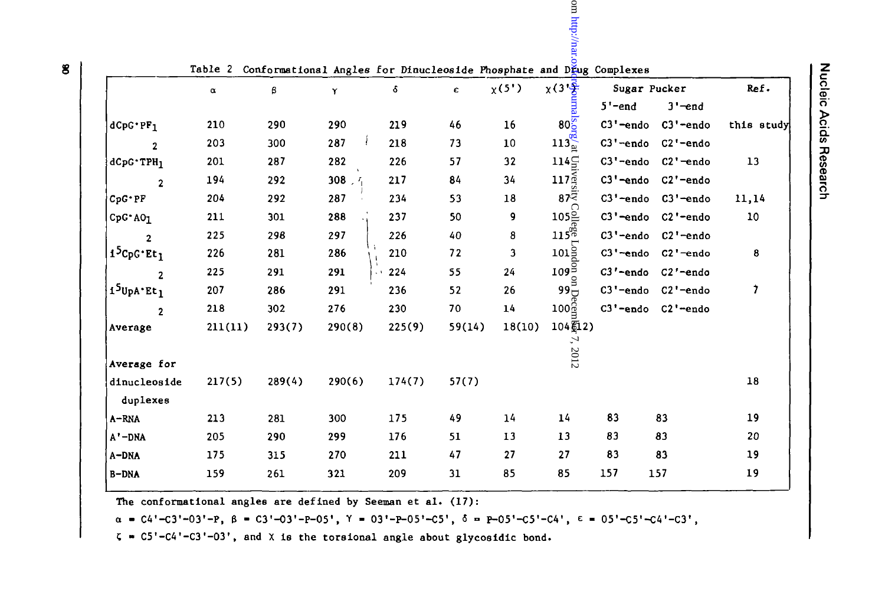|                                    |                                                                             |        |        |        |        |        | cm http://na                                                                 |              |                       |              |
|------------------------------------|-----------------------------------------------------------------------------|--------|--------|--------|--------|--------|------------------------------------------------------------------------------|--------------|-----------------------|--------------|
|                                    | Table 2 Conformational Angles for Dinucleoside Phosphate and DEug Complexes |        |        |        |        |        |                                                                              |              |                       |              |
|                                    | α                                                                           | β      | Υ      | δ      | c      | x(5')  | $x(3)\frac{16}{2}$                                                           | Sugar Pucker |                       | Ref.         |
|                                    |                                                                             |        |        |        |        |        | $\begin{array}{c}\n\hline\n\text{finals} \\ \hline\n\text{0.8}\n\end{array}$ | $5'$ -end    | $3'-end$              |              |
| $dCpG*PF_1$                        | 210                                                                         | 290    | 290    | 219    | 46     | 16     |                                                                              | C3'-endo     | C3'-endo              | this study   |
| $\mathbf 2$                        | 203                                                                         | 300    | 287    | 218    | 73     | 10     | $113\frac{\text{qq}}{\text{p}}$                                              | $C3'$ -endo  | $C2'$ -endo           |              |
| $dCpG^*TPH_1$                      | 201                                                                         | 287    | 282    | 226    | 57     | 32     | $114\Xi$                                                                     | C3'-endo     | $C2'$ -endo           | 13           |
| $\overline{2}$                     | 194                                                                         | 292    | 308.7  | 217    | 84     | 34     | 117 <sub>g</sub>                                                             | C3'-endo     | $C2'$ -endo           |              |
| $CpG \cdot PF$                     | 204                                                                         | 292    | 287    | 234    | 53     | 18     | 87यें                                                                        | C3'-endo     | $C3'$ -endo           | 11,14        |
| $CpG^*AO_1$                        | 211                                                                         | 301    | 288    | 237    | 50     | 9      | $105\frac{C}{F}$                                                             | C3'-endo     | C2'-endo              | 10           |
| 2                                  | 225                                                                         | 298    | 297    | 226    | 40     | 8      | $115\%$                                                                      | C3'-endo     | $C2'$ -endo           |              |
| 1 <sup>5</sup> CpG·Et <sub>1</sub> | 226                                                                         | 281    | 286    | 210    | 72     | 3      | $101\frac{5}{5}$                                                             | $C3'$ -endo  | $C2'$ -endo           | 8            |
| 2                                  | 225                                                                         | 291    | 291    | 224    | 55     | 24     | $109\frac{5}{2}$                                                             | C3'-endo     | C <sub>2</sub> '-endo |              |
| 1 <sup>5</sup> UpA Et <sub>1</sub> | 207                                                                         | 286    | 291    | 236    | 52     | 26     | ٿوو                                                                          | $C3'$ -endo  | $C2'$ -endo           | $\mathbf{r}$ |
| $\overline{2}$                     | 218                                                                         | 302    | 276    | 230    | 70     | 14     | $100\frac{6}{2}$                                                             | $C3'$ -endo  | C2'-endo              |              |
| Average                            | 211(11)                                                                     | 293(7) | 290(8) | 225(9) | 59(14) | 18(10) | 104页2)                                                                       |              |                       |              |
| Average for                        |                                                                             |        |        |        |        |        | 7,2012                                                                       |              |                       |              |
| dinucleoside<br>duplexes           | 217(5)                                                                      | 289(4) | 290(6) | 174(7) | 57(7)  |        |                                                                              |              |                       | 18           |
| $A - RNA$                          | 213                                                                         | 281    | 300    | 175    | 49     | 14     | 14                                                                           | 83           | 83                    | 19           |
| A'-DNA                             | 205                                                                         | 290    | 299    | 176    | 51     | 13     | 13                                                                           | 83           | 83                    | 20           |
| A-DNA                              | 175                                                                         | 315    | 270    | 211    | 47     | 27     | 27                                                                           | 83           | 83                    | 19           |
| B-DNA                              | 159                                                                         | 261    | 321    | 209    | 31     | 85     | 85                                                                           | 157          | 157                   | 19           |

The conformational angles are defined by Seeman et al. (17):

 $\alpha$  = C4'-C3'-03'-P,  $\beta$  = C3'-03'-P-05',  $\gamma$  = 03'-P-05'-C5',  $\delta$  = P-05'-C5'-C4',  $\epsilon$  = 05'-C5'-C4'-C3',

 $\zeta$  = C5'-C4'-C3'-O3', and X is the torsional angle about glycosidic bond.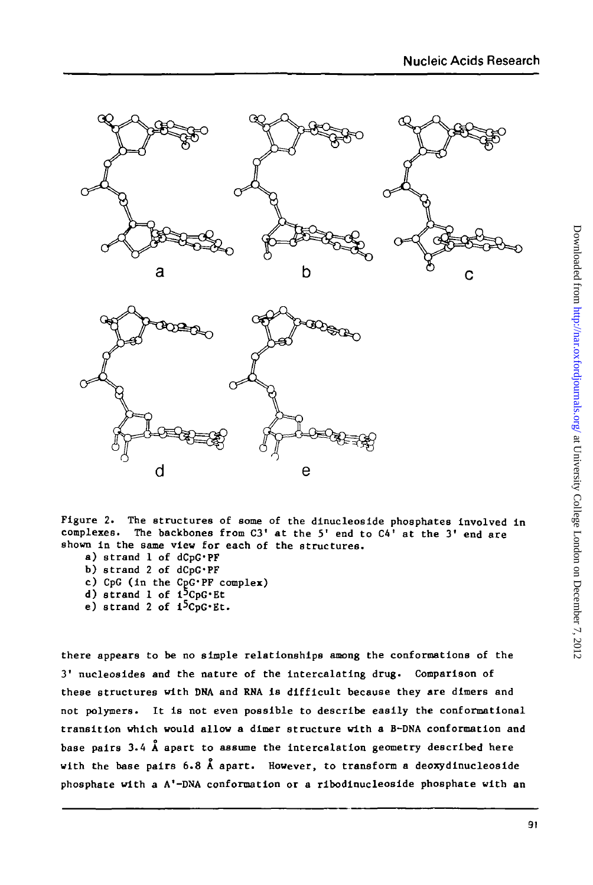



**Figure 2. The structures of some of the dinucleoside phosphates Involved in** The backbones from C3<sup>'</sup> at the 5' end to C4' at the 3' end are **shown in the same view for each of the structures.**

- **a) strand 1 of dCpG'PF**
- **b) strand 2 of dCpG'PF**
- **c) CpG (in the CpG'PF complex)**
- d) strand 1 of 1<sup>5</sup>CpG·Et
- **e) strand 2 of i<sup>5</sup>CpG-Et.**

**there appears to be no simple relationships among the conformations of the 3' nucleosides and the nature of the intercalating drug. Comparison of these structures with DNA and RNA is difficult because they are dimers and not polymers. It is not even possible to describe easily the conformational transition which would allow a dlmer structure with a B-DNA conformation and base pairs 3.4 A apart to assume the intercalation geometry described here with the base pairs 6.8 A apart. However, to transform a deoxydinucleoside phosphate with a A'-DNA conformation or a ribodinucleoside phosphate with an**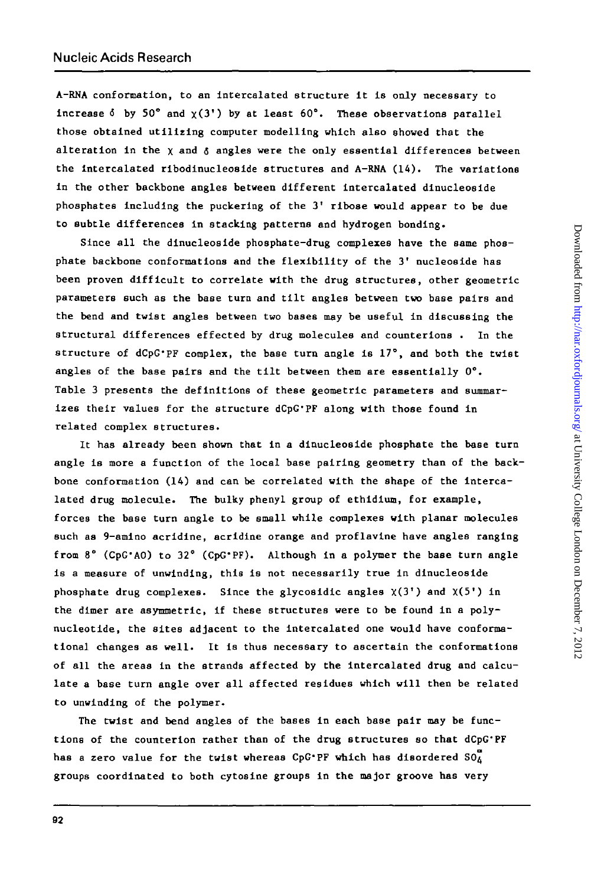A-RNA conformation, to an intercalated structure it is only necessary to increase  $\delta$  by 50° and  $\chi(3')$  by at least  $60^\circ$ . These observations parallel those obtained utilizing computer modelling which also shoved that the alteration in the  $x$  and  $\delta$  angles were the only essential differences between the intercalated ribodinucleoside structures and A-RNA (14). The variations in the other backbone angles between different intercalated dinucleoside phosphates including the puckering of the 3' ribose would appear to be due to subtle differences in stacking patterns and hydrogen bonding.

Since all the dinucleoside phosphate-drug complexes have the same phosphate backbone conformations and the flexibility of the 3' nucleoside has been proven difficult to correlate with the drug structures, other geometric parameters such as the base turn and tilt angles between two base pairs and the bend and twist angles between two bases may be useful in discussing the structural differences effected by drug molecules and counterions . In the structure of dCpG'PF complex, the base turn angle is 17°, and both the twist angles of the base pairs and the tilt between them are essentially 0°. Table 3 presents the definitions of these geometric parameters and summarizes their values for the structure dCpG'PF along with those found in related complex structures.

It has already been shown that in a dinucleoside phosphate the base turn angle is more a function of the local base pairing geometry than of the backbone conformation (14) and can be correlated with the shape of the intercalated drug molecule. The bulky phenyl group of ethidium, for example, forces the base turn angle to be small while complexes with planar molecules such as 9-amino acridine, acridine orange and proflavine have angles ranging from 8° (CpG'AO) to 32° (CpG'PF). Although in a polymer the base turn angle is a measure of unwinding, this is not necessarily true in dinucleoside phosphate drug complexes. Since the glycosidic angles  $\chi(3')$  and  $\chi(5')$  in the dimer are asymmetric, if these structures were to be found in a polynucleotide, the sites adjacent to the intercalated one would have conformational changes as well. It is thus necessary to ascertain the conformations of all the areas in the strands affected by the intercalated drug and calculate a base turn angle over all affected residues which will then be related to unwinding of the polymer.

The twist and bend angles of the bases in each base pair may be functions of the counterion rather than of the drug structures so that dCpG'PF has a zero value for the twist whereas CpG'PF which has disordered  $SO_{A}^{a}$ groups coordinated to both cytosine groups in the major groove has very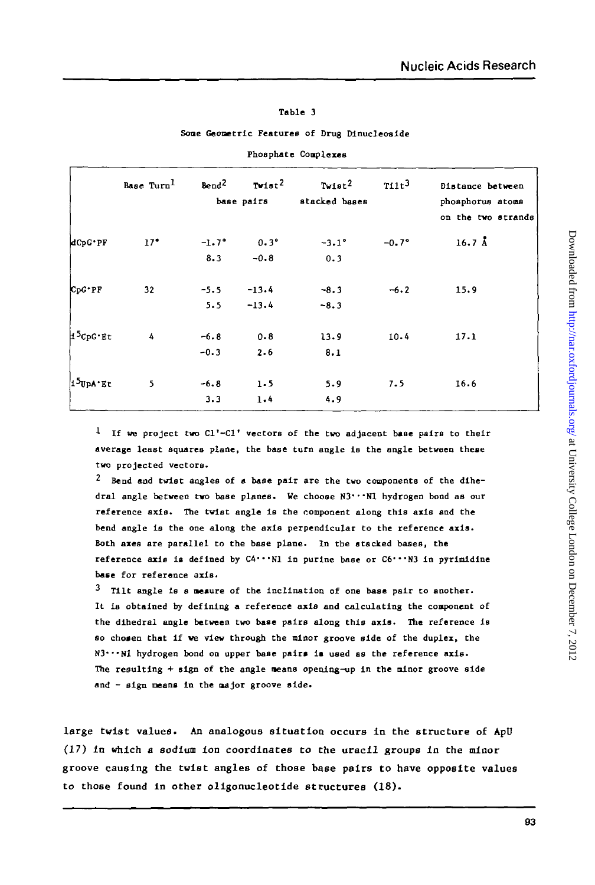#### **Table 3**

#### **Sone Geometric Features of Drug Dinucleoslde**

|            | Base Turn <sup>1</sup> | $T \times 1st^2$<br>Bend <sup>2</sup><br>base pairs |               | $T$ vist $^2$<br>stacked bases | $711t^3$ | Distance between<br>phosphorus atoms |  |  |
|------------|------------------------|-----------------------------------------------------|---------------|--------------------------------|----------|--------------------------------------|--|--|
|            |                        |                                                     |               |                                |          | on the two strands                   |  |  |
| dCpG*PF    | $17^{\circ}$           | $-1.7^{\circ}$                                      | $0.3^{\circ}$ | $-3.1^{\circ}$                 | $-0.7°$  | $16.7 \; \AA$                        |  |  |
|            |                        | 8.3                                                 | $-0.8$        | 0.3                            |          |                                      |  |  |
| $CpG^*PP$  | 32                     | $-5.5$                                              | $-13.4$       | $-8.3$                         | $-6.2$   | 15.9                                 |  |  |
|            |                        | 5.5                                                 | $-13.4$       | $-8.3$                         |          |                                      |  |  |
| $15cpc$ Et | 4                      | $-6.8$                                              | $0 - 8$       | 13.9                           | 10.4     | 17.1                                 |  |  |
|            |                        | $-0.3$                                              | 2.6           | 8.1                            |          |                                      |  |  |
| 15UpA Et   | 5                      | $-6.8$                                              | 1.5           | 5.9                            | 7.5      | 16.6                                 |  |  |
|            |                        | 3.3                                                 | 1.4           | 4.9                            |          |                                      |  |  |

**Phosphate Conplexes**

**1 If we project two Cl'-Cl' vectors of the two adjacent base pairs to their average least squares plane, the base turn angle is the angle between these two projected vectors.**

**<sup>2</sup> Bend and twist angles of a base pair are the two components of the dihedral angle between tvo base planes. We choose N3'"N 1 hydrogen bond as our reference axis\* The twist angle is the component along this axis and the bend angle is the one along the axis perpendicular to the reference axis.** Both axes are parallel to the base plane. In the stacked bases, the reference axis is defined by C4<sup>*\*\*\**N1</sup> in purine base or C6<sup>\*\*\*</sup>N3 in pyrimidine **base for reference axis.**

**<sup>3</sup> Tilt angle is a meaure of the inclination of one base pair to another. It is obtained by defining a reference axis and calculating the component of the dihedral angle between tvo base pairs along this axis. The reference is so cho»en that if ve view through the minor groove side of the duplex, the N3\*"N 1 hydrogen bond on upper base pair\* is used as the reference axis. The resulting + sign of the angle means openlng-up in the minor groove side and - sign means in the major groove side.**

**large twist values. An analogous situation occurs in the structure of ApU (17) in which a sodium ion coordinates to the uracil groups in the minor groove causing the twist angles of those base pairs to have opposite values to those found in other oligonucleotide structures (18).**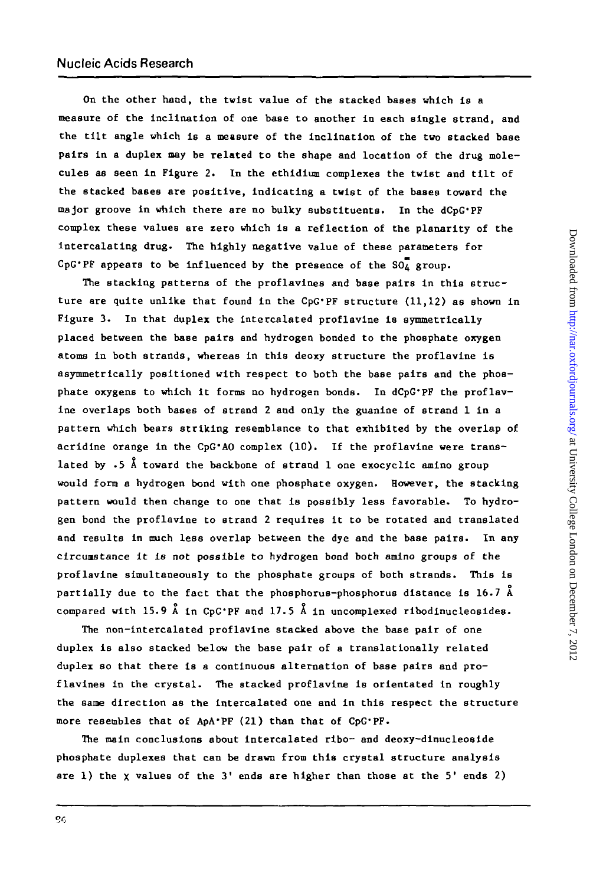**OB the other hand, the twist value of the stacked bases which is a measure of the inclination of one base to another in each single strand, and the tilt angle which is a measure of the inclination of the two stacked base pairs in a duplex may be related to the shape and location of the drug molecules as seen in Figure 2. In the ethidium complexes the twist and tilt of the stacked bases are positive, indicating a twist of the bases toward the major groove in which there are no bulky substituents. In the dCpG'PF complex these values are zero which is a reflection of the planarlty of the intercalating drug. The highly negative value of these parameters for** CpG<sup> $\cdot$ PF</sup> appears to be influenced by the presence of the  $SO_4^T$  group.

**The stacking patterns of the proflavines and base pairs in this structure are quite unlike that found in the CpG'PF structure (11,12) as shown in Figure 3. In that duplex the intercalated proflavine is symmetrically placed between the base pairs and hydrogen bonded to the phosphate oxygen atoms in both strands, whereas in this deoxy structure the proflavine is asymmetrically positioned with respect to both the base pairs and the phosphate oxygens to which it forms no hydrogen bonds. In dCpG'PF the proflavine overlaps both bases of strand 2 and only the guanine of strand 1 in a pattern which bears striking resemblance to that exhibited by the overlap of acridine orange in the CpG'AO complex (10). If the proflavine were translated by .5 A toward the backbone of strand 1 one exocyclic amino group would form a hydrogen bond with one phosphate oxygen. However, the stacking pattern would then change to one that is possibly less favorable. To hydrogen bond the proflavine to strand 2 requires it to be rotated and translated and results in much less overlap between the dye and the base pairs. In any circunstance it Is not possible to hydrogen bond both amino groups of the proflavine simultaneously to the phosphate groups of both strands. This is partially due to the fact that the phosphorus-phosphorus distance is 16.7 A compared with 15.9 A In CpG'PF and 17.5 A in uncomplexed ribodinucleosides.**

**The non-intercalated proflavine stacked above the base pair of one duplex is also stacked below the base pair of a translationally related duplex so that there is a continuous alternation of base pairs and proflavines in the crystal. The stacked proflavine is orientated in roughly the same direction as the Intercalated one and in this respect the structure more resembles that of ApA'PF (21) than that of CpG'PF.**

**The main conclusions about intercalated ribo- and deoxy-dinucleoeide phosphate duplexes that can be drawn from this crystal structure analysis are 1) the x values of the 3' ends are higher than those at the 5' ends 2)**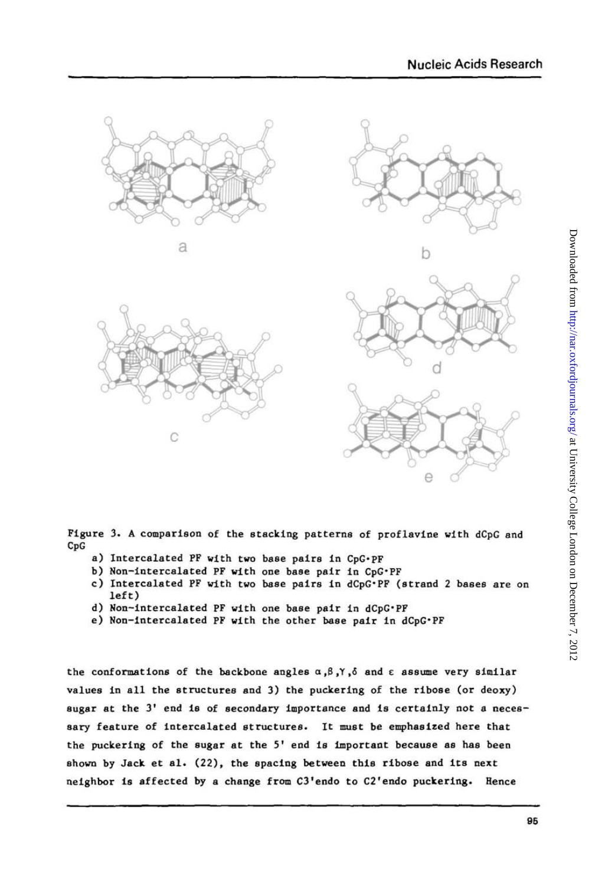





**Figure 3. A comparison of the stacking patterns of proflavine with dCpG and CpG**

- **a) Intercalated PF with two base pairs in CpG'PF**
- **b) Non-intercalated PF with one base pair in CpG'PF**
- **c) Intercalated PF with two base pairs in dCpG\*PF (strand 2 bases are on left)**
- **d) Non-intercalated PF with one base pair in dCpG'PF**
- **e) Non-intercalated PF with the other base pair in dCpG'PF**

**the conformations of the backbone angles a,3,Y,6 and e assume very similar values in all the structures and 3) the puckering of the ribose (or deoxy) sugar at the 3' end is of secondary importance and is certainly not a necessary feature of Intercalated structures. It must be emphasized here that the puckering of the sugar at the 5' end is important because as has been shown by Jack et al. (22), the spacing between this ribose and its next neighbor is affected by a change from C3'endo to C2'endo puckering. Hence**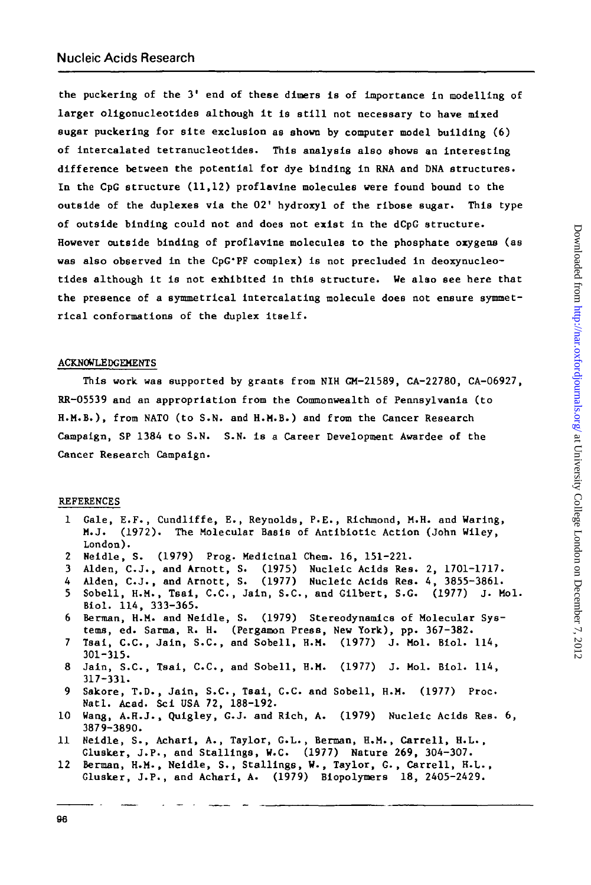**the puckering of the 3' end of these dimers is of importance in modelling of larger oligonucleotides although it is still not necessary to have mixed sugar puckering for site exclusion as shown by computer model building (6) of intercalated tetranucleotides. This analysis also shows an interesting difference between the potential for dye binding in RNA and DNA structures. In the CpG structure (11,12) proflavine molecules were found bound to the outside of the duplexes via the 02' hydroxyl of the rlbose sugar. This type of outside binding could not and does not exist in the dCpG structure. However outside binding of proflavine molecules to the phosphate oxygens (as was also observed in the CpG'PF complex) is not precluded in deoxynucleotides although it is not exhibited in this structure. We also see here that the presence of a symmetrical Intercalating molecule does not ensure symmetrical conformations of the duplex itself.**

### **ACKNOWLEDGEMENTS**

**This work was supported by grants from NIH GM-21589, CA-22780, CA-06927, RR-05539 and an appropriation from the Commonwealth of Pennsylvania (to H.M.B.), from NATO (to S.N. and H.M.B.) and from the Cancer Research Campaign, SP 1384 to S.N. S.N. is a Career Development Awardee of the Cancer Research Campaign.**

# **REFERENCES**

- **1 Gale, E.F., Cundliffe, E., Reynolds, P.E., Richmond, M.H. and Waring, M.J. (1972). The Molecular Basis of Antibiotic Action (John Wiley, London).**
- **2 Neidle, S. (1979) Prog. Medicinal Chem. 16, 151-221.**
- **3 Alden, C.J., and Arnott, S. (1975) Nucleic Acids Res. 2, 1701-1717.**
- **4 Alden, C.J. , and Arnott, S. (1977) Nucleic Acids Res. 4, 3855-3861.**
- **5 Sobell, H.M., Tsai, C.C., Jain, S.C., and Gilbert, S.G. (1977) J. Mol. Blol. 114, 333-365.**
- **6 Berman, H.M. and Neidle, S. (1979) Stereodynamics of Molecular Systems, ed. Sarma, R. H. (Pergamon Press, New York), pp. 367-382.**
- **7 Tsai, C.C., Jain, S.C., and Sobell, H.M. (1977) J. Mol. Biol. 114, 301-315.**
- **8 Jain, S.C., Tsai, C.C., and Sobell, H.M. (1977) J. Mol. Biol. 114, 317-331.**
- **9 Sakore, T.D., Jain, S.C., Tsai, C.C. and Sobell, H.M. (1977) Proc. Natl. Acad. Sci USA 72, 188-192.**
- **10 Wang, A.H.J., Qulgley, G.J. and Rich, A. (1979) Nucleic Acids Res. 6, 3879-3890.**
- **11 Neidle, S., Achari, A., Taylor, G.L., Berman, H.M., Carrell, H.L., Glusker, J.P., and Stallings, W.C. (1977) Nature 269, 304-307.**
- **12 Berman, H.M., Neidle, S., Stallings, W., Taylor, G., Carrell, H.L., Glusker, J.P., and Achari, A. (1979) Biopolymers 18, 2405-2429.**